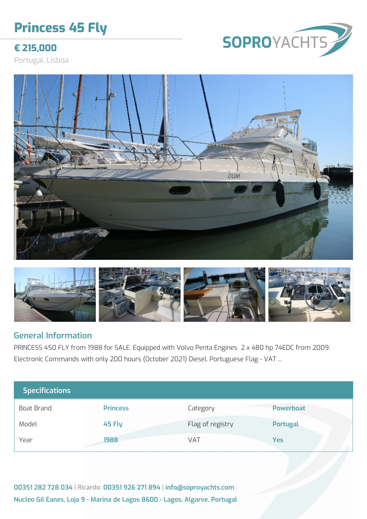# **Princess 45 Fly**



**€ 215,000**

Portugal, Lisboa





#### **General Information**

PRINCESS 450 FLY from 1988 for SALE. Equipped with Volvo Penta Engines 2 x 480 hp 74EDC from 2009. Electronic Commands with only 200 hours (October 2021) Diesel. Portuguese Flag - VAT ...

| <b>Specifications</b> |                 |                  |                  |
|-----------------------|-----------------|------------------|------------------|
| Boat Brand            | <b>Princess</b> | Category         | <b>Powerboat</b> |
| Model                 | 45 Fly          | Flag of registry | <b>Portugal</b>  |
| Year                  | 1988            | VAT              | <b>Yes</b>       |

**00351 282 728 034 | Ricardo: 00351 926 271 894 | info@soproyachts.com Nucleo Gil Eanes, Loja 9 - Marina de Lagos 8600 - Lagos, Algarve, Portugal**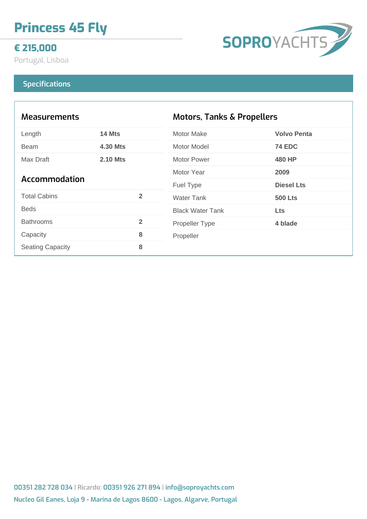# **Princess 45 Fly**

## **€ 215,000**

Portugal, Lisboa

# **SOPROYACHTS**

#### **Specifications**

| <b>Measurements</b>     |                 | <b>Motors, Tanks &amp; Propellers</b> |                    |
|-------------------------|-----------------|---------------------------------------|--------------------|
| Length                  | 14 Mts          | <b>Motor Make</b>                     | <b>Volvo Penta</b> |
| <b>Beam</b>             | <b>4.30 Mts</b> | Motor Model                           | <b>74 EDC</b>      |
| Max Draft               | <b>2.10 Mts</b> | Motor Power                           | <b>480 HP</b>      |
| <b>Accommodation</b>    |                 | Motor Year                            | 2009               |
|                         |                 | <b>Fuel Type</b>                      | <b>Diesel Lts</b>  |
| <b>Total Cabins</b>     | $\overline{2}$  | <b>Water Tank</b>                     | <b>500 Lts</b>     |
| <b>Beds</b>             |                 | <b>Black Water Tank</b>               | <b>Lts</b>         |
| <b>Bathrooms</b>        | $\overline{2}$  | <b>Propeller Type</b>                 | 4 blade            |
| Capacity                | 8               | Propeller                             |                    |
| <b>Seating Capacity</b> | 8               |                                       |                    |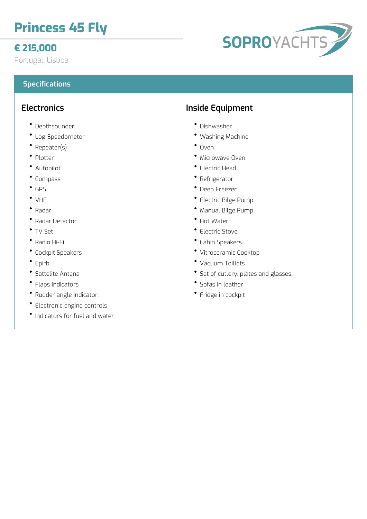# **Princess 45 Fly**

# **€ 215,000**

Portugal, Lisboa

#### **Specifications**

### **Electronics**

- Depthsounder
- Log-Speedometer
- Repeater(s)
- Plotter
- Autopilot
- Compass
- GPS
- VHF
- Radar
- Radar Detector
- TV Set
- Radio Hi-Fi
- Cockpit Speakers
- Epirb
- Sattelite Antena
- Flaps indicators
- Rudder angle indicator.
- Electronic engine controls
- Indicators for fuel and water

# **Inside Equipment**

- Dishwasher
- Washing Machine
- $^{\bullet}$  Oven
- Microwave Oven
- Electric Head
- Refrigerator
- Deep Freezer
- Electric Bilge Pump
- Manual Bilge Pump
- Hot Water
- Electric Stove
- Cabin Speakers
- Vitroceramic Cooktop
- Vacuum Toillets
- Set of cutlery, plates and glasses.
- Sofas in leather
- Fridge in cockpit